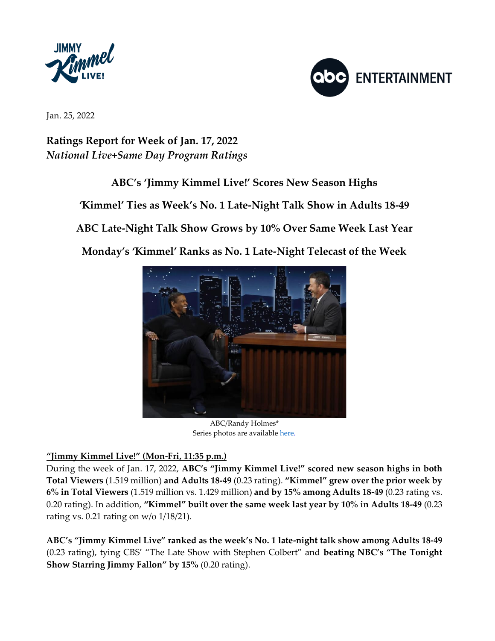



Jan. 25, 2022

**Ratings Report for Week of Jan. 17, 2022** *National Live+Same Day Program Ratings*

## **ABC's 'Jimmy Kimmel Live!' Scores New Season Highs**

**'Kimmel' Ties as Week's No. 1 Late-Night Talk Show in Adults 18-49**

**ABC Late-Night Talk Show Grows by 10% Over Same Week Last Year**

**Monday's 'Kimmel' Ranks as No. 1 Late-Night Telecast of the Week**



ABC/Randy Holmes\* Series photos are availabl[e here.](https://www.dgepress.com/abc/shows/jimmykimmellive/photos/)

## **"Jimmy Kimmel Live!" (Mon-Fri, 11:35 p.m.)**

During the week of Jan. 17, 2022, **ABC's "Jimmy Kimmel Live!" scored new season highs in both Total Viewers** (1.519 million) **and Adults 18-49** (0.23 rating). **"Kimmel" grew over the prior week by 6% in Total Viewers** (1.519 million vs. 1.429 million) **and by 15% among Adults 18-49** (0.23 rating vs. 0.20 rating). In addition, **"Kimmel" built over the same week last year by 10% in Adults 18-49** (0.23 rating vs. 0.21 rating on w/o 1/18/21).

**ABC's "Jimmy Kimmel Live" ranked as the week's No. 1 late-night talk show among Adults 18-49**  (0.23 rating), tying CBS' "The Late Show with Stephen Colbert" and **beating NBC's "The Tonight Show Starring Jimmy Fallon" by 15%** (0.20 rating).